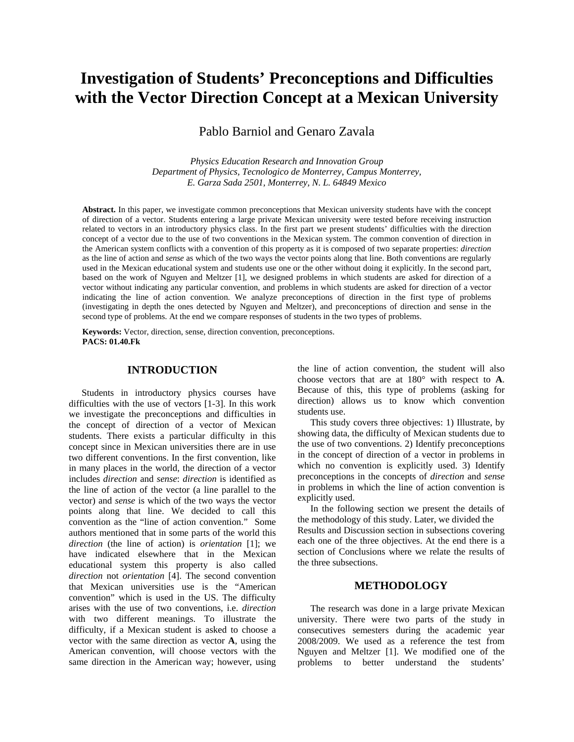# **Investigation of Students' Preconceptions and Difficulties with the Vector Direction Concept at a Mexican University**

Pablo Barniol and Genaro Zavala

*Physics Education Research and Innovation Group Department of Physics, Tecnologico de Monterrey, Campus Monterrey, E. Garza Sada 2501, Monterrey, N. L. 64849 Mexico* 

**Abstract.** In this paper, we investigate common preconceptions that Mexican university students have with the concept of direction of a vector. Students entering a large private Mexican university were tested before receiving instruction related to vectors in an introductory physics class. In the first part we present students' difficulties with the direction concept of a vector due to the use of two conventions in the Mexican system. The common convention of direction in the American system conflicts with a convention of this property as it is composed of two separate properties: *direction* as the line of action and *sense* as which of the two ways the vector points along that line. Both conventions are regularly used in the Mexican educational system and students use one or the other without doing it explicitly. In the second part, based on the work of Nguyen and Meltzer [1], we designed problems in which students are asked for direction of a vector without indicating any particular convention, and problems in which students are asked for direction of a vector indicating the line of action convention. We analyze preconceptions of direction in the first type of problems (investigating in depth the ones detected by Nguyen and Meltzer), and preconceptions of direction and sense in the second type of problems. At the end we compare responses of students in the two types of problems.

**Keywords:** Vector, direction, sense, direction convention, preconceptions. **PACS: 01.40.Fk** 

### **INTRODUCTION**

Students in introductory physics courses have difficulties with the use of vectors [1-3]. In this work we investigate the preconceptions and difficulties in the concept of direction of a vector of Mexican students. There exists a particular difficulty in this concept since in Mexican universities there are in use two different conventions. In the first convention, like in many places in the world, the direction of a vector includes *direction* and *sense*: *direction* is identified as the line of action of the vector (a line parallel to the vector) and *sense* is which of the two ways the vector points along that line. We decided to call this convention as the "line of action convention." Some authors mentioned that in some parts of the world this *direction* (the line of action) is *orientation* [1]; we have indicated elsewhere that in the Mexican educational system this property is also called *direction* not *orientation* [4]. The second convention that Mexican universities use is the "American convention" which is used in the US. The difficulty arises with the use of two conventions, i.e. *direction* with two different meanings. To illustrate the difficulty, if a Mexican student is asked to choose a vector with the same direction as vector **A**, using the American convention, will choose vectors with the same direction in the American way; however, using

the line of action convention, the student will also choose vectors that are at 180° with respect to **A**. Because of this, this type of problems (asking for direction) allows us to know which convention students use.

This study covers three objectives: 1) Illustrate, by showing data, the difficulty of Mexican students due to the use of two conventions. 2) Identify preconceptions in the concept of direction of a vector in problems in which no convention is explicitly used. 3) Identify preconceptions in the concepts of *direction* and *sense* in problems in which the line of action convention is explicitly used.

In the following section we present the details of the methodology of this study. Later, we divided the Results and Discussion section in subsections covering each one of the three objectives. At the end there is a section of Conclusions where we relate the results of the three subsections.

#### **METHODOLOGY**

The research was done in a large private Mexican university. There were two parts of the study in consecutives semesters during the academic year 2008/2009. We used as a reference the test from Nguyen and Meltzer [1]. We modified one of the problems to better understand the students'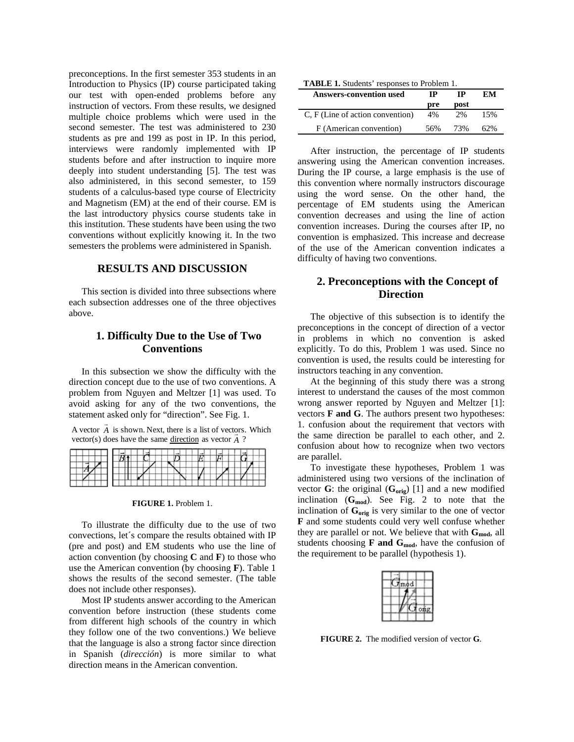preconceptions. In the first semester 353 students in an Introduction to Physics (IP) course participated taking our test with open-ended problems before any instruction of vectors. From these results, we designed multiple choice problems which were used in the second semester. The test was administered to 230 students as pre and 199 as post in IP. In this period, interviews were randomly implemented with IP students before and after instruction to inquire more deeply into student understanding [5]. The test was also administered, in this second semester, to 159 students of a calculus-based type course of Electricity and Magnetism (EM) at the end of their course. EM is the last introductory physics course students take in this institution. These students have been using the two conventions without explicitly knowing it. In the two semesters the problems were administered in Spanish.

### **RESULTS AND DISCUSSION**

This section is divided into three subsections where each subsection addresses one of the three objectives above.

## **1. Difficulty Due to the Use of Two Conventions**

In this subsection we show the difficulty with the direction concept due to the use of two conventions. A problem from Nguyen and Meltzer [1] was used. To avoid asking for any of the two conventions, the statement asked only for "direction". See Fig. 1.

A vector  $\vec{A}$  is shown. Next, there is a list of vectors. Which  $A$  vector  $\overline{A}$  is shown, ivext, there is a list of vector.

#### **FIGURE 1.** Problem 1.

To illustrate the difficulty due to the use of two convections, let´s compare the results obtained with IP (pre and post) and EM students who use the line of action convention (by choosing **C** and **F**) to those who use the American convention (by choosing **F**). Table 1 shows the results of the second semester. (The table does not include other responses).

Most IP students answer according to the American convention before instruction (these students come from different high schools of the country in which they follow one of the two conventions.) We believe that the language is also a strong factor since direction in Spanish (*dirección*) is more similar to what direction means in the American convention.

| <b>THERE I</b> DRUGGINS Tesponses to I Toolem 1. |     |      |     |  |
|--------------------------------------------------|-----|------|-----|--|
| <b>Answers-convention used</b>                   | ТP  | ТP   | EМ  |  |
|                                                  | pre | post |     |  |
| C, F (Line of action convention)                 | 4%  | 2%   | 15% |  |
| F (American convention)                          | 56% | 73%  | 62% |  |

After instruction, the percentage of IP students answering using the American convention increases. During the IP course, a large emphasis is the use of this convention where normally instructors discourage using the word sense. On the other hand, the percentage of EM students using the American convention decreases and using the line of action convention increases. During the courses after IP, no convention is emphasized. This increase and decrease of the use of the American convention indicates a difficulty of having two conventions.

# **2. Preconceptions with the Concept of Direction**

The objective of this subsection is to identify the preconceptions in the concept of direction of a vector in problems in which no convention is asked explicitly. To do this, Problem 1 was used. Since no convention is used, the results could be interesting for instructors teaching in any convention.

At the beginning of this study there was a strong interest to understand the causes of the most common wrong answer reported by Nguyen and Meltzer [1]: vectors **F and G**. The authors present two hypotheses: 1. confusion about the requirement that vectors with the same direction be parallel to each other, and 2. confusion about how to recognize when two vectors are parallel.

To investigate these hypotheses, Problem 1 was administered using two versions of the inclination of vector  $G$ : the original  $(G_{orig})$  [1] and a new modified inclination  $(G_{mod})$ . See Fig. 2 to note that the inclination of  $\mathbf{G}_{\text{orig}}$  is very similar to the one of vector **F** and some students could very well confuse whether they are parallel or not. We believe that with  $G_{\text{mod}}$ , all students choosing  $\bf{F}$  and  $\bf{G}_{mod}$ , have the confusion of the requirement to be parallel (hypothesis 1).

| mod |  |     |
|-----|--|-----|
|     |  |     |
|     |  | ong |
|     |  |     |

**FIGURE 2.** The modified version of vector **G**.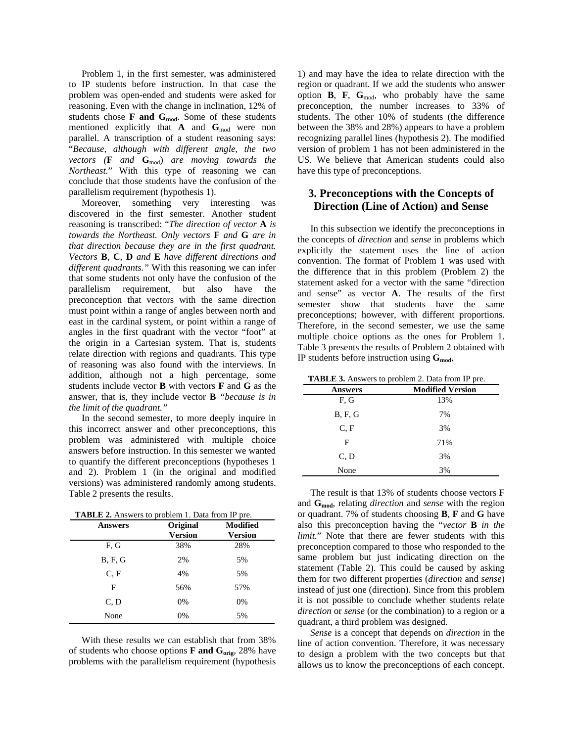Problem 1, in the first semester, was administered to IP students before instruction. In that case the problem was open-ended and students were asked for reasoning. Even with the change in inclination, 12% of students chose **F and Gmod**. Some of these students mentioned explicitly that  $\mathbf{A}$  and  $\mathbf{G}_{\text{mod}}$  were non parallel. A transcription of a student reasoning says: "*Because, although with different angle, the two vectors* ( $\bf{F}$  *and*  $\bf{G}_{mod}$ *) are moving towards the Northeast.*" With this type of reasoning we can conclude that those students have the confusion of the parallelism requirement (hypothesis 1).

Moreover, something very interesting was discovered in the first semester. Another student reasoning is transcribed: "*The direction of vector* **A** *is towards the Northeast. Only vectors* **F** *and* **G** *are in that direction because they are in the first quadrant. Vectors* **B**, **C**, **D** *and* **E** *have different directions and different quadrants."* With this reasoning we can infer that some students not only have the confusion of the parallelism requirement, but also have preconception that vectors with the same direction must point within a range of angles between north and east in the cardinal system, or point within a range of angles in the first quadrant with the vector "foot" at the origin in a Cartesian system. That is, students relate direction with regions and quadrants. This type of reasoning was also found with the interviews. In addition, although not a high percentage, some students include vector **B** with vectors **F** and **G** as the answer, that is, they include vector **B** *"because is in the limit of the quadrant."* 

In the second semester, to more deeply inquire in this incorrect answer and other preconceptions, this problem was administered with multiple choice answers before instruction. In this semester we wanted to quantify the different preconceptions (hypotheses 1 and 2). Problem 1 (in the original and modified versions) was administered randomly among students. Table 2 presents the results.

**TABLE 2.** Answers to problem 1. Data from IP pre.

| <b>Answers</b> | Original<br><b>Version</b> | <b>Modified</b><br><b>Version</b> |
|----------------|----------------------------|-----------------------------------|
| F, G           | 38%                        | 28%                               |
| B, F, G        | 2%                         | 5%                                |
| C.F            | 4%                         | 5%                                |
| F              | 56%                        | 57%                               |
| C, D           | 0%                         | 0%                                |
| None           | 0%                         | 5%                                |

With these results we can establish that from 38% of students who choose options  $\bf{F}$  and  $\bf{G}_{orig}$ , 28% have problems with the parallelism requirement (hypothesis

1) and may have the idea to relate direction with the region or quadrant. If we add the students who answer option **B**, **F**,  $G_{\text{mod}}$ , who probably have the same preconception, the number increases to 33% of students. The other 10% of students (the difference between the 38% and 28%) appears to have a problem recognizing parallel lines (hypothesis 2). The modified version of problem 1 has not been administered in the US. We believe that American students could also have this type of preconceptions.

# **3. Preconceptions with the Concepts of Direction (Line of Action) and Sense**

In this subsection we identify the preconceptions in the concepts of *direction* and *sense* in problems which explicitly the statement uses the line of action convention. The format of Problem 1 was used with the difference that in this problem (Problem 2) the statement asked for a vector with the same "direction and sense" as vector **A**. The results of the first semester show that students have the same preconceptions; however, with different proportions. Therefore, in the second semester, we use the same multiple choice options as the ones for Problem 1. Table 3 presents the results of Problem 2 obtained with IP students before instruction using  $G_{\text{mod}}$ .

| <b>TADLE 3.</b> Allowers to problem 2. Data from it<br>μu. |                         |  |  |  |
|------------------------------------------------------------|-------------------------|--|--|--|
| Answers                                                    | <b>Modified Version</b> |  |  |  |
| F.G                                                        | 13%                     |  |  |  |
| <b>B, F, G</b>                                             | 7%                      |  |  |  |
| C.F                                                        | 3%                      |  |  |  |
| F                                                          | 71%                     |  |  |  |
| C, D                                                       | 3%                      |  |  |  |
| None                                                       | 3%                      |  |  |  |

The result is that 13% of students choose vectors **F** and **Gmod**, relating *direction* and *sense* with the region or quadrant. 7% of students choosing **B**, **F** and **G** have also this preconception having the "*vector* **B** *in the limit.*" Note that there are fewer students with this preconception compared to those who responded to the same problem but just indicating direction on the statement (Table 2). This could be caused by asking them for two different properties (*direction* and *sense*) instead of just one (direction). Since from this problem it is not possible to conclude whether students relate *direction* or *sense* (or the combination) to a region or a quadrant, a third problem was designed.

*Sense* is a concept that depends on *direction* in the line of action convention. Therefore, it was necessary to design a problem with the two concepts but that allows us to know the preconceptions of each concept.